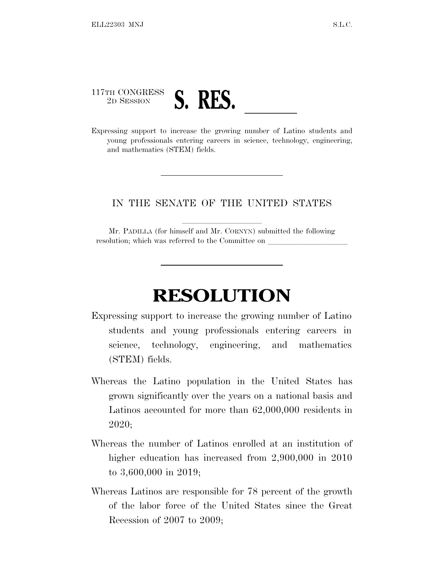## 117TH CONGRESS <sup>2</sup><sup>D</sup> <sup>S</sup>ESSION **S. RES.** ll Expressing support to increase the growing number of Latino students and

young professionals entering careers in science, technology, engineering, and mathematics (STEM) fields.

## IN THE SENATE OF THE UNITED STATES

Mr. PADILLA (for himself and Mr. CORNYN) submitted the following resolution; which was referred to the Committee on

## **RESOLUTION**

- Expressing support to increase the growing number of Latino students and young professionals entering careers in science, technology, engineering, and mathematics (STEM) fields.
- Whereas the Latino population in the United States has grown significantly over the years on a national basis and Latinos accounted for more than 62,000,000 residents in 2020;
- Whereas the number of Latinos enrolled at an institution of higher education has increased from 2,900,000 in 2010 to 3,600,000 in 2019;
- Whereas Latinos are responsible for 78 percent of the growth of the labor force of the United States since the Great Recession of 2007 to 2009;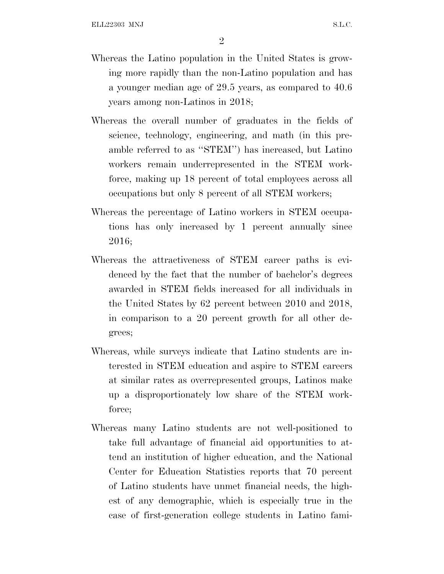- Whereas the Latino population in the United States is growing more rapidly than the non-Latino population and has a younger median age of 29.5 years, as compared to 40.6 years among non-Latinos in 2018;
- Whereas the overall number of graduates in the fields of science, technology, engineering, and math (in this preamble referred to as ''STEM'') has increased, but Latino workers remain underrepresented in the STEM workforce, making up 18 percent of total employees across all occupations but only 8 percent of all STEM workers;
- Whereas the percentage of Latino workers in STEM occupations has only increased by 1 percent annually since 2016;
- Whereas the attractiveness of STEM career paths is evidenced by the fact that the number of bachelor's degrees awarded in STEM fields increased for all individuals in the United States by 62 percent between 2010 and 2018, in comparison to a 20 percent growth for all other degrees;
- Whereas, while surveys indicate that Latino students are interested in STEM education and aspire to STEM careers at similar rates as overrepresented groups, Latinos make up a disproportionately low share of the STEM workforce;
- Whereas many Latino students are not well-positioned to take full advantage of financial aid opportunities to attend an institution of higher education, and the National Center for Education Statistics reports that 70 percent of Latino students have unmet financial needs, the highest of any demographic, which is especially true in the case of first-generation college students in Latino fami-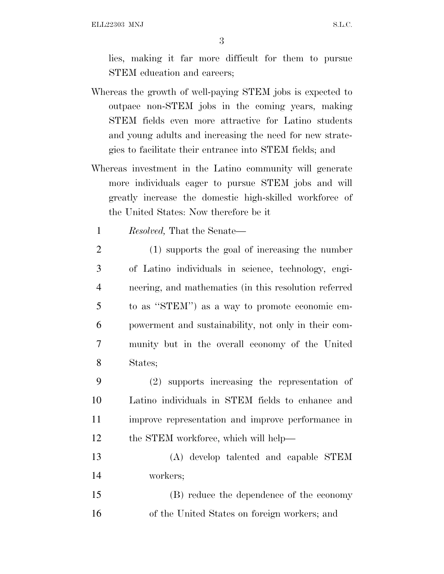ELL22303 MNJ S.L.C.

3

lies, making it far more difficult for them to pursue STEM education and careers;

- Whereas the growth of well-paying STEM jobs is expected to outpace non-STEM jobs in the coming years, making STEM fields even more attractive for Latino students and young adults and increasing the need for new strategies to facilitate their entrance into STEM fields; and
- Whereas investment in the Latino community will generate more individuals eager to pursue STEM jobs and will greatly increase the domestic high-skilled workforce of the United States: Now therefore be it
	- 1 *Resolved,* That the Senate—
- 2 (1) supports the goal of increasing the number 3 of Latino individuals in science, technology, engi-4 neering, and mathematics (in this resolution referred 5 to as ''STEM'') as a way to promote economic em-6 powerment and sustainability, not only in their com-7 munity but in the overall economy of the United 8 States;
- 9 (2) supports increasing the representation of 10 Latino individuals in STEM fields to enhance and 11 improve representation and improve performance in 12 the STEM workforce, which will help—
- 13 (A) develop talented and capable STEM 14 workers;
- 15 (B) reduce the dependence of the economy 16 of the United States on foreign workers; and